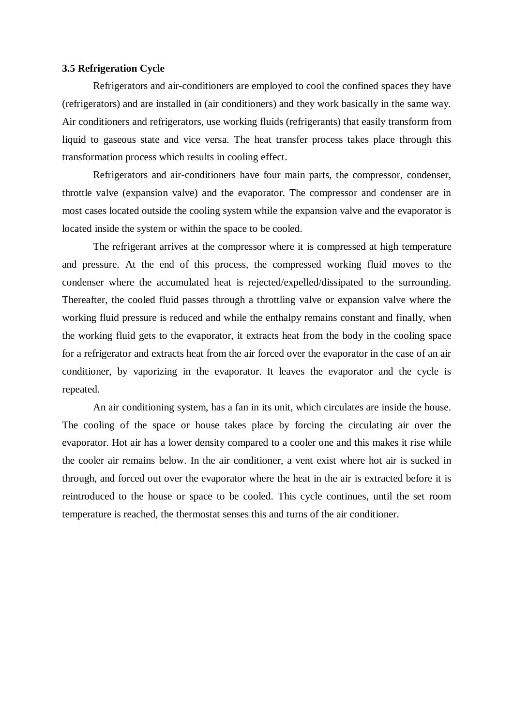## **3.5 Refrigeration Cycle**

Refrigerators and air-conditioners are employed to cool the confined spaces they have (refrigerators) and are installed in (air conditioners) and they work basically in the same way. Air conditioners and refrigerators, use working fluids (refrigerants) that easily transform from liquid to gaseous state and vice versa. The heat transfer process takes place through this transformation process which results in cooling effect.

Refrigerators and air-conditioners have four main parts, the compressor, condenser, throttle valve (expansion valve) and the evaporator. The compressor and condenser are in most cases located outside the cooling system while the expansion valve and the evaporator is located inside the system or within the space to be cooled.

The refrigerant arrives at the compressor where it is compressed at high temperature and pressure. At the end of this process, the compressed working fluid moves to the condenser where the accumulated heat is rejected/expelled/dissipated to the surrounding. Thereafter, the cooled fluid passes through a throttling valve or expansion valve where the working fluid pressure is reduced and while the enthalpy remains constant and finally, when the working fluid gets to the evaporator, it extracts heat from the body in the cooling space for a refrigerator and extracts heat from the air forced over the evaporator in the case of an air conditioner, by vaporizing in the evaporator. It leaves the evaporator and the cycle is repeated.

An air conditioning system, has a fan in its unit, which circulates are inside the house. The cooling of the space or house takes place by forcing the circulating air over the evaporator. Hot air has a lower density compared to a cooler one and this makes it rise while the cooler air remains below. In the air conditioner, a vent exist where hot air is sucked in through, and forced out over the evaporator where the heat in the air is extracted before it is reintroduced to the house or space to be cooled. This cycle continues, until the set room temperature is reached, the thermostat senses this and turns of the air conditioner.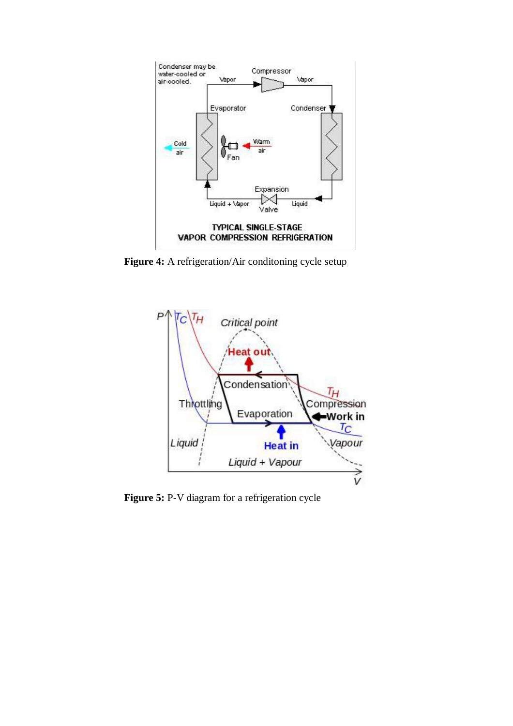

Figure 4: A refrigeration/Air conditoning cycle setup



**Figure 5:** P-V diagram for a refrigeration cycle